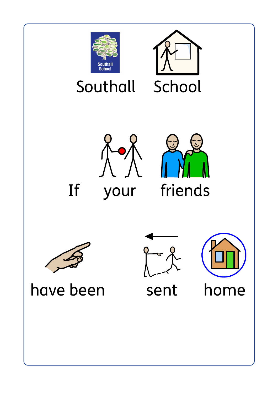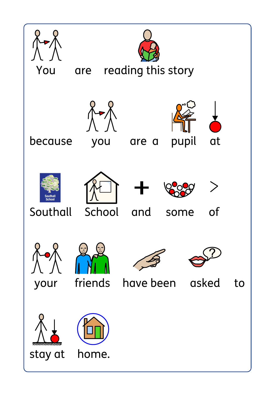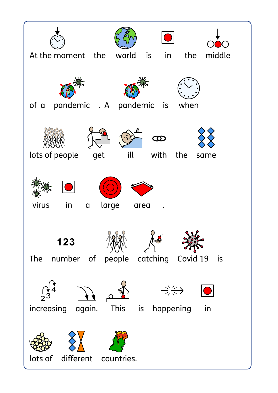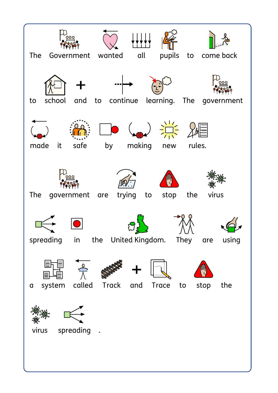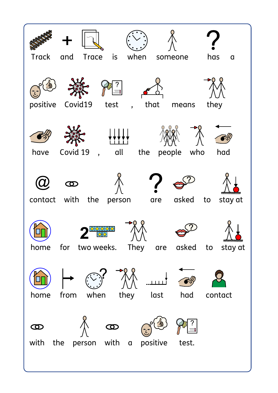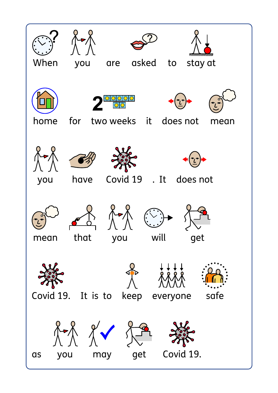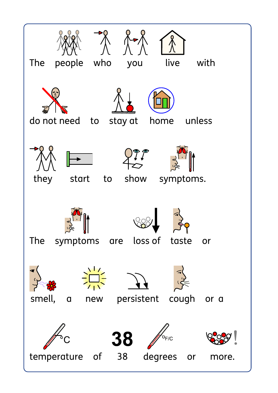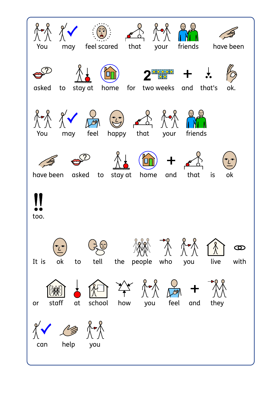